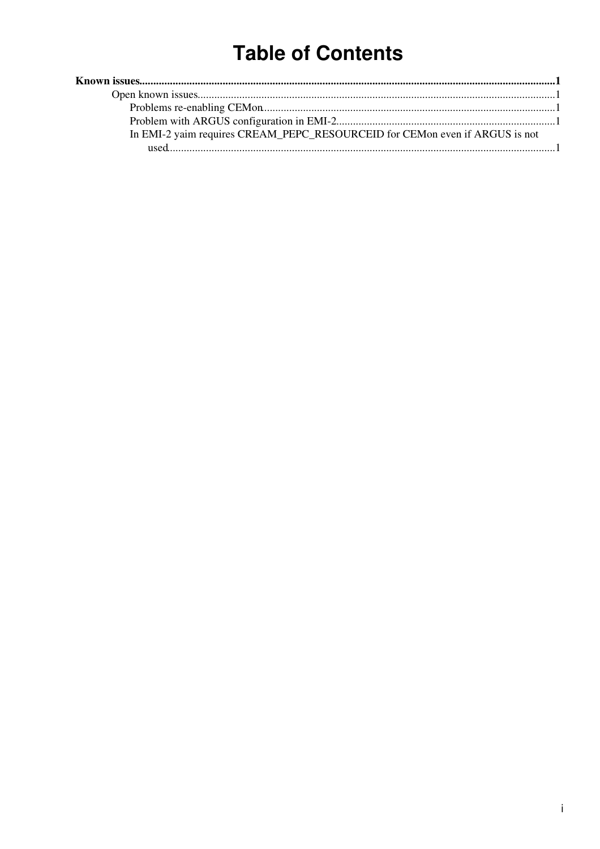# **Table of Contents**

| In EMI-2 yaim requires CREAM_PEPC_RESOURCEID for CEMon even if ARGUS is not |  |
|-----------------------------------------------------------------------------|--|
|                                                                             |  |